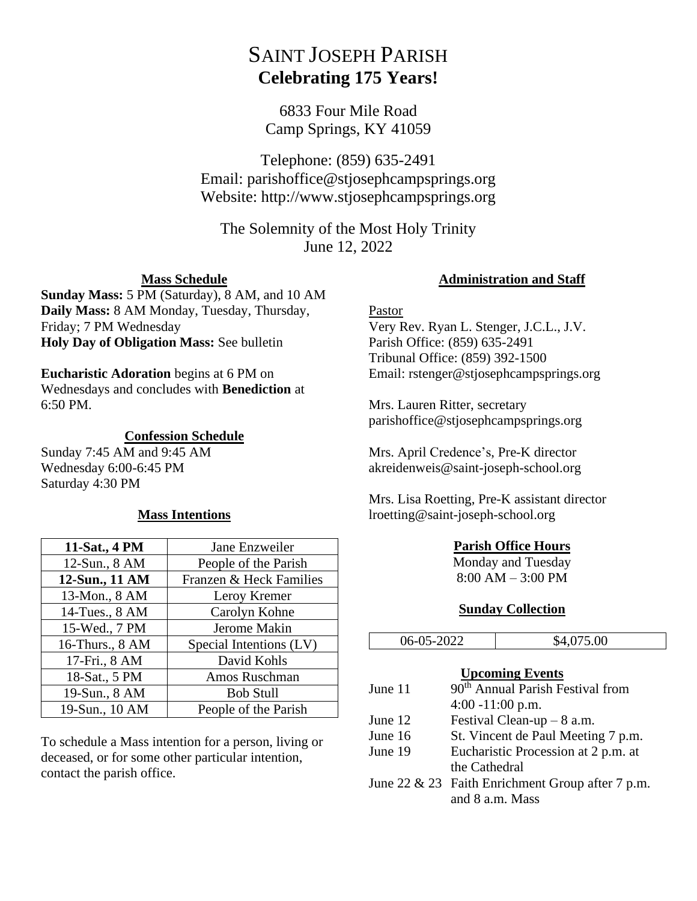# SAINT JOSEPH PARISH **Celebrating 175 Years!**

6833 Four Mile Road Camp Springs, KY 41059

Telephone: (859) 635-2491 Email: parishoffice@stjosephcampsprings.org Website: http://www.stjosephcampsprings.org

The Solemnity of the Most Holy Trinity June 12, 2022

## **Mass Schedule**

**Sunday Mass:** 5 PM (Saturday), 8 AM, and 10 AM **Daily Mass:** 8 AM Monday, Tuesday, Thursday, Friday; 7 PM Wednesday **Holy Day of Obligation Mass:** See bulletin

### **Eucharistic Adoration** begins at 6 PM on

Wednesdays and concludes with **Benediction** at 6:50 PM.

### **Confession Schedule**

Sunday 7:45 AM and 9:45 AM Wednesday 6:00-6:45 PM Saturday 4:30 PM

## **Mass Intentions**

| 11-Sat., 4 PM   | Jane Enzweiler          |
|-----------------|-------------------------|
| 12-Sun., 8 AM   | People of the Parish    |
| 12-Sun., 11 AM  | Franzen & Heck Families |
| 13-Mon., 8 AM   | Leroy Kremer            |
| 14-Tues., 8 AM  | Carolyn Kohne           |
| 15-Wed., 7 PM   | Jerome Makin            |
| 16-Thurs., 8 AM | Special Intentions (LV) |
| 17-Fri., 8 AM   | David Kohls             |
| 18-Sat., 5 PM   | Amos Ruschman           |
| 19-Sun., 8 AM   | <b>Bob Stull</b>        |
| 19-Sun., 10 AM  | People of the Parish    |

To schedule a Mass intention for a person, living or deceased, or for some other particular intention, contact the parish office.

### **Administration and Staff**

### Pastor

Very Rev. Ryan L. Stenger, J.C.L., J.V. Parish Office: (859) 635-2491 Tribunal Office: (859) 392-1500 Email: rstenger@stjosephcampsprings.org

Mrs. Lauren Ritter, secretary parishoffice@stjosephcampsprings.org

Mrs. April Credence's, Pre-K director akreidenweis@saint-joseph-school.org

Mrs. Lisa Roetting, Pre-K assistant director lroetting@saint-joseph-school.org

## **Parish Office Hours**

Monday and Tuesday 8:00 AM – 3:00 PM

#### **Sunday Collection**

| 06-05-2022 |                                     | \$4,075.00                                          |
|------------|-------------------------------------|-----------------------------------------------------|
|            |                                     | <b>Upcoming Events</b>                              |
| June 11    |                                     | 90 <sup>th</sup> Annual Parish Festival from        |
|            | $4:00 - 11:00$ p.m.                 |                                                     |
| June 12    | Festival Clean-up $-8$ a.m.         |                                                     |
| June 16    |                                     | St. Vincent de Paul Meeting 7 p.m.                  |
| June 19    | Eucharistic Procession at 2 p.m. at |                                                     |
|            | the Cathedral                       |                                                     |
|            |                                     | June 22 $\&$ 23 Faith Enrichment Group after 7 p.m. |
|            |                                     | and 8 a.m. Mass                                     |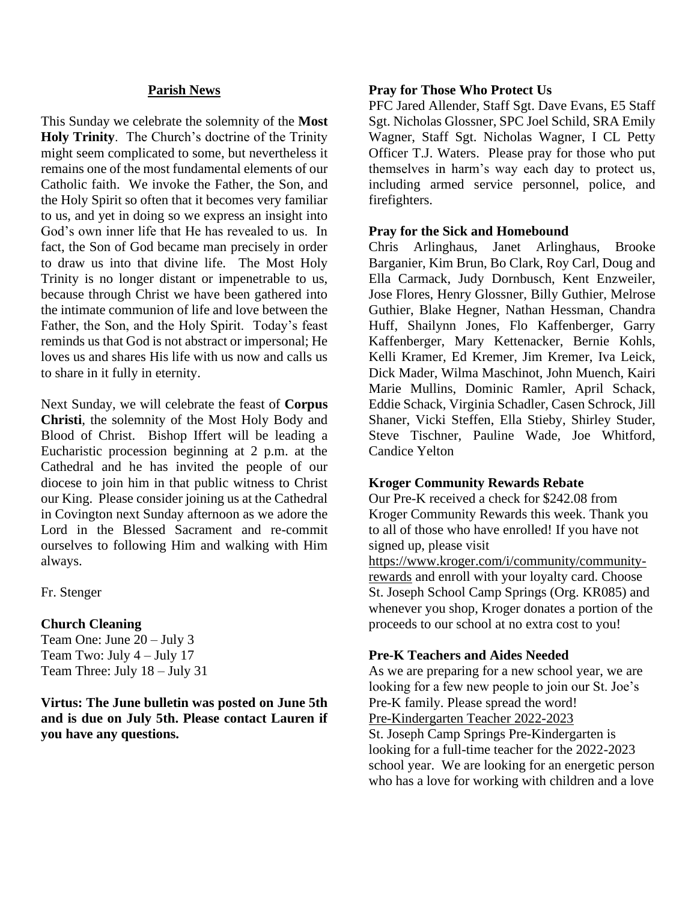### **Parish News**

This Sunday we celebrate the solemnity of the **Most Holy Trinity**. The Church's doctrine of the Trinity might seem complicated to some, but nevertheless it remains one of the most fundamental elements of our Catholic faith. We invoke the Father, the Son, and the Holy Spirit so often that it becomes very familiar to us, and yet in doing so we express an insight into God's own inner life that He has revealed to us. In fact, the Son of God became man precisely in order to draw us into that divine life. The Most Holy Trinity is no longer distant or impenetrable to us, because through Christ we have been gathered into the intimate communion of life and love between the Father, the Son, and the Holy Spirit. Today's feast reminds us that God is not abstract or impersonal; He loves us and shares His life with us now and calls us to share in it fully in eternity.

Next Sunday, we will celebrate the feast of **Corpus Christi**, the solemnity of the Most Holy Body and Blood of Christ. Bishop Iffert will be leading a Eucharistic procession beginning at 2 p.m. at the Cathedral and he has invited the people of our diocese to join him in that public witness to Christ our King. Please consider joining us at the Cathedral in Covington next Sunday afternoon as we adore the Lord in the Blessed Sacrament and re-commit ourselves to following Him and walking with Him always.

Fr. Stenger

#### **Church Cleaning**

Team One: June 20 – July 3 Team Two: July  $4 -$  July 17 Team Three: July 18 – July 31

**Virtus: The June bulletin was posted on June 5th and is due on July 5th. Please contact Lauren if you have any questions.**

#### **Pray for Those Who Protect Us**

PFC Jared Allender, Staff Sgt. Dave Evans, E5 Staff Sgt. Nicholas Glossner, SPC Joel Schild, SRA Emily Wagner, Staff Sgt. Nicholas Wagner, I CL Petty Officer T.J. Waters. Please pray for those who put themselves in harm's way each day to protect us, including armed service personnel, police, and firefighters.

### **Pray for the Sick and Homebound**

Chris Arlinghaus, Janet Arlinghaus, Brooke Barganier, Kim Brun, Bo Clark, Roy Carl, Doug and Ella Carmack, Judy Dornbusch, Kent Enzweiler, Jose Flores, Henry Glossner, Billy Guthier, Melrose Guthier, Blake Hegner, Nathan Hessman, Chandra Huff, Shailynn Jones, Flo Kaffenberger, Garry Kaffenberger, Mary Kettenacker, Bernie Kohls, Kelli Kramer, Ed Kremer, Jim Kremer, Iva Leick, Dick Mader, Wilma Maschinot, John Muench, Kairi Marie Mullins, Dominic Ramler, April Schack, Eddie Schack, Virginia Schadler, Casen Schrock, Jill Shaner, Vicki Steffen, Ella Stieby, Shirley Studer, Steve Tischner, Pauline Wade, Joe Whitford, Candice Yelton

## **Kroger Community Rewards Rebate**

Our Pre-K received a check for \$242.08 from Kroger Community Rewards this week. Thank you to all of those who have enrolled! If you have not signed up, please visit [https://www.kroger.com/i/community/community](https://www.kroger.com/i/community/community-rewards)[rewards](https://www.kroger.com/i/community/community-rewards) and enroll with your loyalty card. Choose St. Joseph School Camp Springs (Org. KR085) and whenever you shop, Kroger donates a portion of the

proceeds to our school at no extra cost to you!

## **Pre-K Teachers and Aides Needed**

As we are preparing for a new school year, we are looking for a few new people to join our St. Joe's Pre-K family. Please spread the word! Pre-Kindergarten Teacher 2022-2023 St. Joseph Camp Springs Pre-Kindergarten is looking for a full-time teacher for the 2022-2023 school year. We are looking for an energetic person who has a love for working with children and a love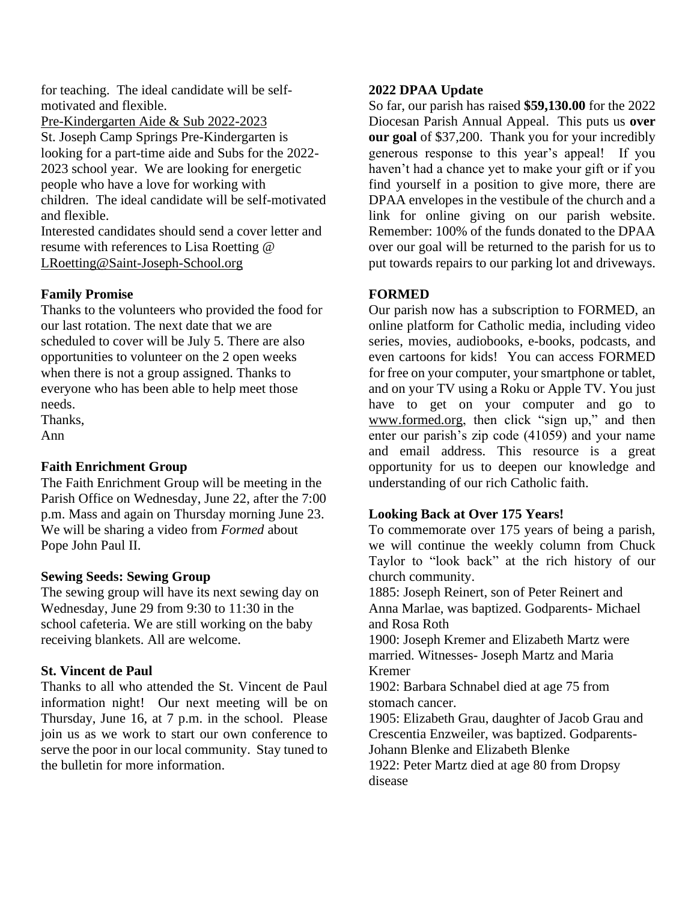for teaching. The ideal candidate will be selfmotivated and flexible.

Pre-Kindergarten Aide & Sub 2022-2023 St. Joseph Camp Springs Pre-Kindergarten is looking for a part-time aide and Subs for the 2022- 2023 school year. We are looking for energetic people who have a love for working with children. The ideal candidate will be self-motivated and flexible.

Interested candidates should send a cover letter and resume with references to Lisa Roetting @ [LRoetting@Saint-Joseph-School.org](mailto:LRoetting@Saint-Joseph-School.org)

# **Family Promise**

Thanks to the volunteers who provided the food for our last rotation. The next date that we are scheduled to cover will be July 5. There are also opportunities to volunteer on the 2 open weeks when there is not a group assigned. Thanks to everyone who has been able to help meet those needs.

Thanks,

Ann

# **Faith Enrichment Group**

The Faith Enrichment Group will be meeting in the Parish Office on Wednesday, June 22, after the 7:00 p.m. Mass and again on Thursday morning June 23. We will be sharing a video from *Formed* about Pope John Paul II.

# **Sewing Seeds: Sewing Group**

The sewing group will have its next sewing day on Wednesday, June 29 from 9:30 to 11:30 in the school cafeteria. We are still working on the baby receiving blankets. All are welcome.

# **St. Vincent de Paul**

Thanks to all who attended the St. Vincent de Paul information night! Our next meeting will be on Thursday, June 16, at 7 p.m. in the school. Please join us as we work to start our own conference to serve the poor in our local community. Stay tuned to the bulletin for more information.

# **2022 DPAA Update**

So far, our parish has raised **\$59,130.00** for the 2022 Diocesan Parish Annual Appeal. This puts us **over our goal** of \$37,200. Thank you for your incredibly generous response to this year's appeal! If you haven't had a chance yet to make your gift or if you find yourself in a position to give more, there are DPAA envelopes in the vestibule of the church and a link for online giving on our parish website. Remember: 100% of the funds donated to the DPAA over our goal will be returned to the parish for us to put towards repairs to our parking lot and driveways.

# **FORMED**

Our parish now has a subscription to FORMED, an online platform for Catholic media, including video series, movies, audiobooks, e-books, podcasts, and even cartoons for kids! You can access FORMED for free on your computer, your smartphone or tablet, and on your TV using a Roku or Apple TV. You just have to get on your computer and go to [www.formed.](http://www.formed/)org, then click "sign up," and then enter our parish's zip code (41059) and your name and email address. This resource is a great opportunity for us to deepen our knowledge and understanding of our rich Catholic faith.

# **Looking Back at Over 175 Years!**

To commemorate over 175 years of being a parish, we will continue the weekly column from Chuck Taylor to "look back" at the rich history of our church community.

1885: Joseph Reinert, son of Peter Reinert and Anna Marlae, was baptized. Godparents- Michael and Rosa Roth

1900: Joseph Kremer and Elizabeth Martz were married. Witnesses- Joseph Martz and Maria Kremer

1902: Barbara Schnabel died at age 75 from stomach cancer.

1905: Elizabeth Grau, daughter of Jacob Grau and Crescentia Enzweiler, was baptized. Godparents-Johann Blenke and Elizabeth Blenke

1922: Peter Martz died at age 80 from Dropsy disease